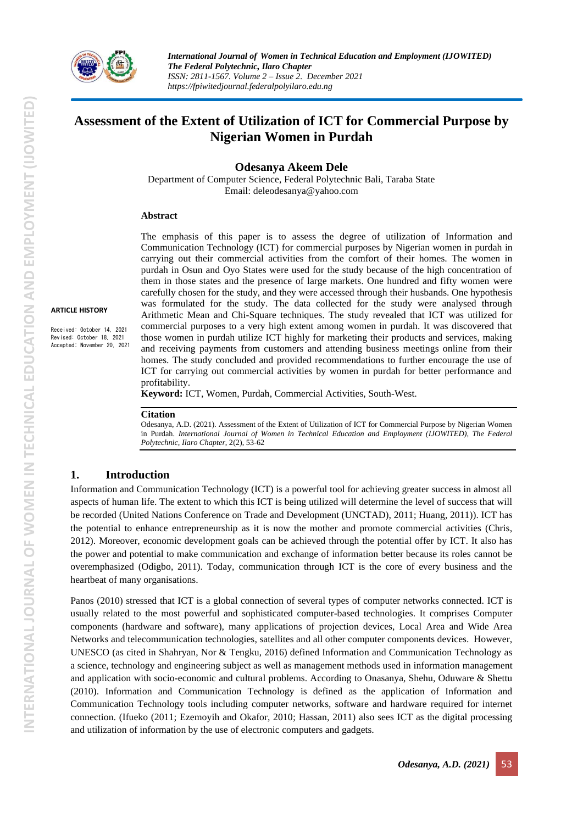

# **Assessment of the Extent of Utilization of ICT for Commercial Purpose by Nigerian Women in Purdah**

**Odesanya Akeem Dele**

Department of Computer Science, Federal Polytechnic Bali, Taraba State Email[: deleodesanya@yahoo.com](mailto:deleodesanya@yahoo.com)

#### **Abstract**

**ARTICLE HISTORY**

Received: October 14, 2021 Revised: October 18, 2021 Accepted: November 20, 2021

The emphasis of this paper is to assess the degree of utilization of Information and Communication Technology (ICT) for commercial purposes by Nigerian women in purdah in carrying out their commercial activities from the comfort of their homes. The women in purdah in Osun and Oyo States were used for the study because of the high concentration of them in those states and the presence of large markets. One hundred and fifty women were carefully chosen for the study, and they were accessed through their husbands. One hypothesis was formulated for the study. The data collected for the study were analysed through Arithmetic Mean and Chi-Square techniques. The study revealed that ICT was utilized for commercial purposes to a very high extent among women in purdah. It was discovered that those women in purdah utilize ICT highly for marketing their products and services, making and receiving payments from customers and attending business meetings online from their homes. The study concluded and provided recommendations to further encourage the use of ICT for carrying out commercial activities by women in purdah for better performance and profitability.

**Keyword:** ICT, Women, Purdah, Commercial Activities, South-West.

#### **Citation**

Odesanya, A.D. (2021). Assessment of the Extent of Utilization of ICT for Commercial Purpose by Nigerian Women in Purdah. *International Journal of Women in Technical Education and Employment (IJOWITED), The Federal Polytechnic, Ilaro Chapter*, 2(2), 53-62

#### **1. Introduction**

Information and Communication Technology (ICT) is a powerful tool for achieving greater success in almost all aspects of human life. The extent to which this ICT is being utilized will determine the level of success that will be recorded (United Nations Conference on Trade and Development (UNCTAD), 2011; Huang, 2011)). ICT has the potential to enhance entrepreneurship as it is now the mother and promote commercial activities (Chris, 2012). Moreover, economic development goals can be achieved through the potential offer by ICT. It also has the power and potential to make communication and exchange of information better because its roles cannot be overemphasized (Odigbo, 2011). Today, communication through ICT is the core of every business and the heartbeat of many organisations.

Panos (2010) stressed that ICT is a global connection of several types of computer networks connected. ICT is usually related to the most powerful and sophisticated computer-based technologies. It comprises Computer components (hardware and software), many applications of projection devices, Local Area and Wide Area Networks and telecommunication technologies, satellites and all other computer components devices. However, UNESCO (as cited in Shahryan, Nor & Tengku, 2016) defined Information and Communication Technology as a science, technology and engineering subject as well as management methods used in information management and application with socio-economic and cultural problems. According to Onasanya, Shehu, Oduware & Shettu (2010). Information and Communication Technology is defined as the application of Information and Communication Technology tools including computer networks, software and hardware required for internet connection. (Ifueko (2011; Ezemoyih and Okafor, 2010; Hassan, 2011) also sees ICT as the digital processing and utilization of information by the use of electronic computers and gadgets.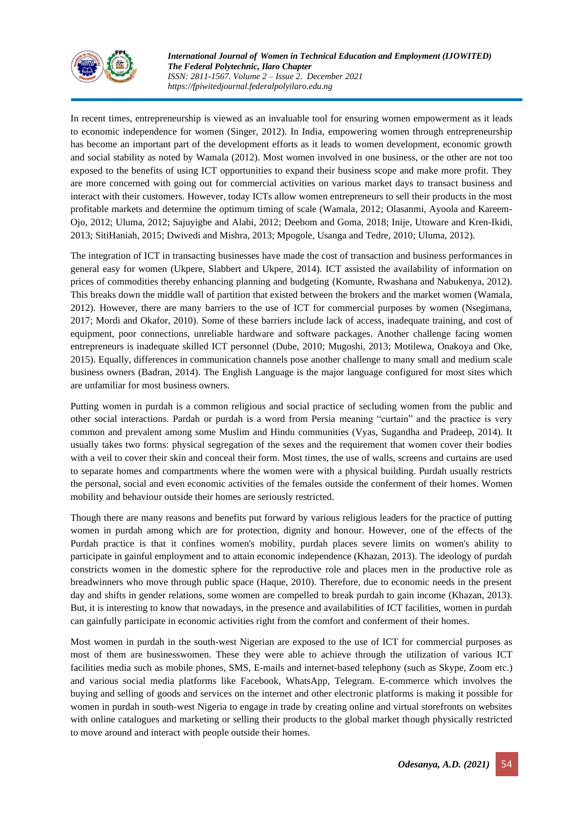

In recent times, entrepreneurship is viewed as an invaluable tool for ensuring women empowerment as it leads to economic independence for women (Singer, 2012). In India, empowering women through entrepreneurship has become an important part of the development efforts as it leads to women development, economic growth and social stability as noted by Wamala (2012). Most women involved in one business, or the other are not too exposed to the benefits of using ICT opportunities to expand their business scope and make more profit. They are more concerned with going out for commercial activities on various market days to transact business and interact with their customers. However, today ICTs allow women entrepreneurs to sell their products in the most profitable markets and determine the optimum timing of scale (Wamala, 2012; Olasanmi, Ayoola and Kareem-Ojo, 2012; Uluma, 2012; Sajuyigbe and Alabi, 2012; Deebom and Goma, 2018; Inije, Utoware and Kren-Ikidi, 2013; SitiHaniah, 2015; Dwivedi and Mishra, 2013; Mpogole, Usanga and Tedre, 2010; Uluma, 2012).

The integration of ICT in transacting businesses have made the cost of transaction and business performances in general easy for women (Ukpere, Slabbert and Ukpere, 2014). ICT assisted the availability of information on prices of commodities thereby enhancing planning and budgeting (Komunte, Rwashana and Nabukenya, 2012). This breaks down the middle wall of partition that existed between the brokers and the market women (Wamala, 2012). However, there are many barriers to the use of ICT for commercial purposes by women (Nsegimana, 2017; Mordi and Okafor, 2010). Some of these barriers include lack of access, inadequate training, and cost of equipment, poor connections, unreliable hardware and software packages. Another challenge facing women entrepreneurs is inadequate skilled ICT personnel (Dube, 2010; Mugoshi, 2013; Motilewa, Onakoya and Oke, 2015). Equally, differences in communication channels pose another challenge to many small and medium scale business owners (Badran, 2014). The English Language is the major language configured for most sites which are unfamiliar for most business owners.

Putting women in purdah is a common religious and social practice of secluding women from the public and other social interactions. Pardah or purdah is a word from Persia meaning "curtain" and the practice is very common and prevalent among some Muslim and Hindu communities (Vyas, Sugandha and Pradeep, 2014). It usually takes two forms: physical segregation of the sexes and the requirement that women cover their bodies with a veil to cover their skin and conceal their form. Most times, the use of walls, screens and curtains are used to separate homes and compartments where the women were with a physical building. Purdah usually restricts the personal, social and even economic activities of the females outside the conferment of their homes. Women mobility and behaviour outside their homes are seriously restricted.

Though there are many reasons and benefits put forward by various religious leaders for the practice of putting women in purdah among which are for protection, dignity and honour. However, one of the effects of the Purdah practice is that it confines women's mobility, purdah places severe limits on women's ability to participate in gainful employment and to attain economic independence (Khazan, 2013). The ideology of purdah constricts women in the domestic sphere for the reproductive role and places men in the productive role as breadwinners who move through public space (Haque, 2010). Therefore, due to economic needs in the present day and shifts in gender relations, some women are compelled to break purdah to gain income (Khazan, 2013). But, it is interesting to know that nowadays, in the presence and availabilities of ICT facilities, women in purdah can gainfully participate in economic activities right from the comfort and conferment of their homes.

Most women in purdah in the south-west Nigerian are exposed to the use of ICT for commercial purposes as most of them are businesswomen. These they were able to achieve through the utilization of various ICT facilities media such as mobile phones, SMS, E-mails and internet-based telephony (such as Skype, Zoom etc.) and various social media platforms like Facebook, WhatsApp, Telegram. E-commerce which involves the buying and selling of goods and services on the internet and other electronic platforms is making it possible for women in purdah in south-west Nigeria to engage in trade by creating online and virtual storefronts on websites with online catalogues and marketing or selling their products to the global market though physically restricted to move around and interact with people outside their homes.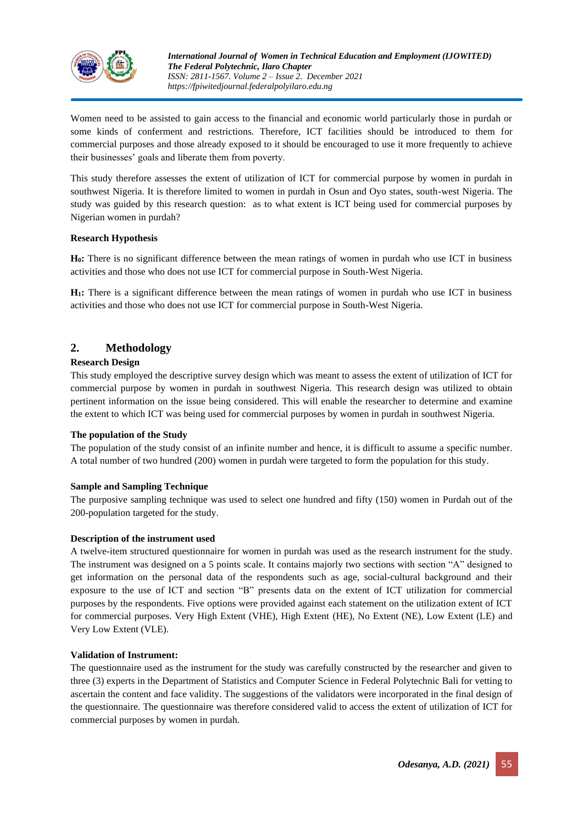

Women need to be assisted to gain access to the financial and economic world particularly those in purdah or some kinds of conferment and restrictions. Therefore, ICT facilities should be introduced to them for commercial purposes and those already exposed to it should be encouraged to use it more frequently to achieve their businesses' goals and liberate them from poverty.

This study therefore assesses the extent of utilization of ICT for commercial purpose by women in purdah in southwest Nigeria. It is therefore limited to women in purdah in Osun and Oyo states, south-west Nigeria. The study was guided by this research question: as to what extent is ICT being used for commercial purposes by Nigerian women in purdah?

#### **Research Hypothesis**

**H0:** There is no significant difference between the mean ratings of women in purdah who use ICT in business activities and those who does not use ICT for commercial purpose in South-West Nigeria.

**H1:** There is a significant difference between the mean ratings of women in purdah who use ICT in business activities and those who does not use ICT for commercial purpose in South-West Nigeria.

## **2. Methodology**

### **Research Design**

This study employed the descriptive survey design which was meant to assess the extent of utilization of ICT for commercial purpose by women in purdah in southwest Nigeria. This research design was utilized to obtain pertinent information on the issue being considered. This will enable the researcher to determine and examine the extent to which ICT was being used for commercial purposes by women in purdah in southwest Nigeria.

#### **The population of the Study**

The population of the study consist of an infinite number and hence, it is difficult to assume a specific number. A total number of two hundred (200) women in purdah were targeted to form the population for this study.

#### **Sample and Sampling Technique**

The purposive sampling technique was used to select one hundred and fifty (150) women in Purdah out of the 200-population targeted for the study.

#### **Description of the instrument used**

A twelve-item structured questionnaire for women in purdah was used as the research instrument for the study. The instrument was designed on a 5 points scale. It contains majorly two sections with section "A" designed to get information on the personal data of the respondents such as age, social-cultural background and their exposure to the use of ICT and section "B" presents data on the extent of ICT utilization for commercial purposes by the respondents. Five options were provided against each statement on the utilization extent of ICT for commercial purposes. Very High Extent (VHE), High Extent (HE), No Extent (NE), Low Extent (LE) and Very Low Extent (VLE).

#### **Validation of Instrument:**

The questionnaire used as the instrument for the study was carefully constructed by the researcher and given to three (3) experts in the Department of Statistics and Computer Science in Federal Polytechnic Bali for vetting to ascertain the content and face validity. The suggestions of the validators were incorporated in the final design of the questionnaire. The questionnaire was therefore considered valid to access the extent of utilization of ICT for commercial purposes by women in purdah.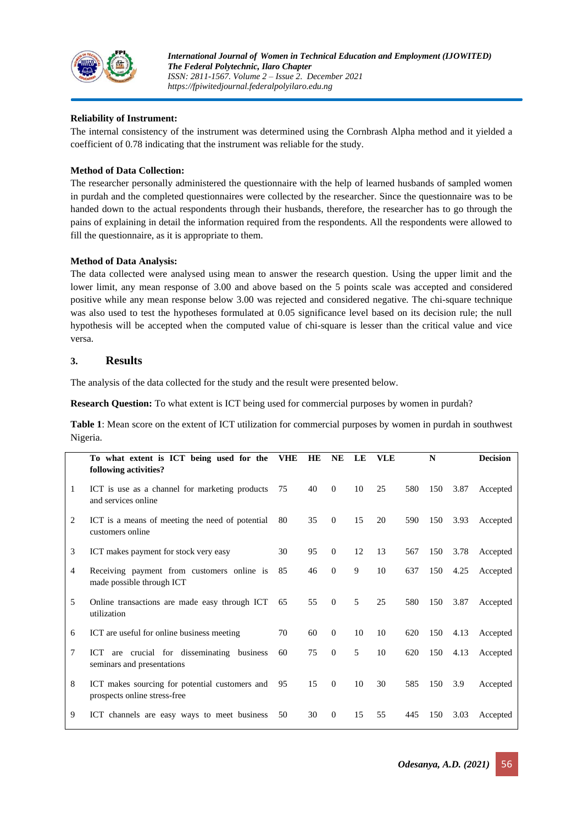

#### **Reliability of Instrument:**

The internal consistency of the instrument was determined using the Cornbrash Alpha method and it yielded a coefficient of 0.78 indicating that the instrument was reliable for the study.

#### **Method of Data Collection:**

The researcher personally administered the questionnaire with the help of learned husbands of sampled women in purdah and the completed questionnaires were collected by the researcher. Since the questionnaire was to be handed down to the actual respondents through their husbands, therefore, the researcher has to go through the pains of explaining in detail the information required from the respondents. All the respondents were allowed to fill the questionnaire, as it is appropriate to them.

#### **Method of Data Analysis:**

The data collected were analysed using mean to answer the research question. Using the upper limit and the lower limit, any mean response of 3.00 and above based on the 5 points scale was accepted and considered positive while any mean response below 3.00 was rejected and considered negative. The chi-square technique was also used to test the hypotheses formulated at 0.05 significance level based on its decision rule; the null hypothesis will be accepted when the computed value of chi-square is lesser than the critical value and vice versa.

## **3. Results**

The analysis of the data collected for the study and the result were presented below.

**Research Question:** To what extent is ICT being used for commercial purposes by women in purdah?

**Table 1**: Mean score on the extent of ICT utilization for commercial purposes by women in purdah in southwest Nigeria.

|                | To what extent is ICT being used for the<br>following activities?              | <b>VHE</b> | HE | <b>NE</b>    | LE | <b>VLE</b> |     | N   |      | <b>Decision</b> |
|----------------|--------------------------------------------------------------------------------|------------|----|--------------|----|------------|-----|-----|------|-----------------|
| 1              | ICT is use as a channel for marketing products<br>and services online          | 75         | 40 | $\theta$     | 10 | 25         | 580 | 150 | 3.87 | Accepted        |
| 2              | ICT is a means of meeting the need of potential<br>customers online            | 80         | 35 | $\Omega$     | 15 | 20         | 590 | 150 | 3.93 | Accepted        |
| 3              | ICT makes payment for stock very easy                                          | 30         | 95 | $\mathbf{0}$ | 12 | 13         | 567 | 150 | 3.78 | Accepted        |
| $\overline{4}$ | Receiving payment from customers online is<br>made possible through ICT        | 85         | 46 | $\mathbf{0}$ | 9  | 10         | 637 | 150 | 4.25 | Accepted        |
| 5              | Online transactions are made easy through ICT<br>utilization                   | 65         | 55 | $\Omega$     | 5  | 25         | 580 | 150 | 3.87 | Accepted        |
| 6              | ICT are useful for online business meeting                                     | 70         | 60 | $\theta$     | 10 | 10         | 620 | 150 | 4.13 | Accepted        |
| 7              | are crucial for disseminating business<br>ICT<br>seminars and presentations    | 60         | 75 | $\Omega$     | 5  | 10         | 620 | 150 | 4.13 | Accepted        |
| 8              | ICT makes sourcing for potential customers and<br>prospects online stress-free | 95         | 15 | $\theta$     | 10 | 30         | 585 | 150 | 3.9  | Accepted        |
| 9              | ICT channels are easy ways to meet business                                    | 50         | 30 | $\mathbf{0}$ | 15 | 55         | 445 | 150 | 3.03 | Accepted        |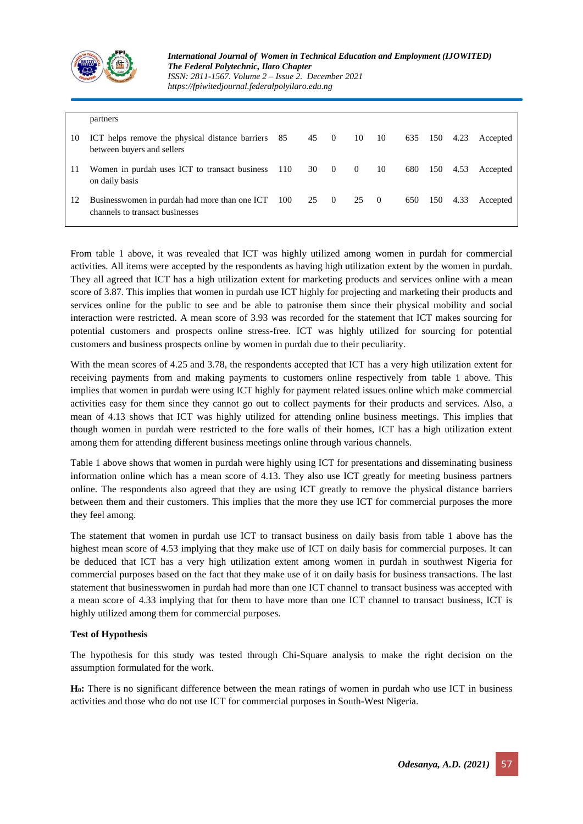

|    | partners                                                                         |          |      |                         |                |     |     |      |          |
|----|----------------------------------------------------------------------------------|----------|------|-------------------------|----------------|-----|-----|------|----------|
| 10 | ICT helps remove the physical distance barriers 85<br>between buyers and sellers |          | 45 0 | 10                      | - 10           | 635 | 150 | 4.23 | Accepted |
| 11 | Women in purdah uses ICT to transact business $110$ 30 0<br>on daily basis       |          |      | $\overline{\mathbf{0}}$ | 10             | 680 | 150 | 4.53 | Accepted |
| 12 | Businesswomen in purdah had more than one ICT<br>channels to transact businesses | 100 25 0 |      | 25                      | $\overline{0}$ | 650 | 150 | 4.33 | Accepted |

From table 1 above, it was revealed that ICT was highly utilized among women in purdah for commercial activities. All items were accepted by the respondents as having high utilization extent by the women in purdah. They all agreed that ICT has a high utilization extent for marketing products and services online with a mean score of 3.87. This implies that women in purdah use ICT highly for projecting and marketing their products and services online for the public to see and be able to patronise them since their physical mobility and social interaction were restricted. A mean score of 3.93 was recorded for the statement that ICT makes sourcing for potential customers and prospects online stress-free. ICT was highly utilized for sourcing for potential customers and business prospects online by women in purdah due to their peculiarity.

With the mean scores of 4.25 and 3.78, the respondents accepted that ICT has a very high utilization extent for receiving payments from and making payments to customers online respectively from table 1 above. This implies that women in purdah were using ICT highly for payment related issues online which make commercial activities easy for them since they cannot go out to collect payments for their products and services. Also, a mean of 4.13 shows that ICT was highly utilized for attending online business meetings. This implies that though women in purdah were restricted to the fore walls of their homes, ICT has a high utilization extent among them for attending different business meetings online through various channels.

Table 1 above shows that women in purdah were highly using ICT for presentations and disseminating business information online which has a mean score of 4.13. They also use ICT greatly for meeting business partners online. The respondents also agreed that they are using ICT greatly to remove the physical distance barriers between them and their customers. This implies that the more they use ICT for commercial purposes the more they feel among.

The statement that women in purdah use ICT to transact business on daily basis from table 1 above has the highest mean score of 4.53 implying that they make use of ICT on daily basis for commercial purposes. It can be deduced that ICT has a very high utilization extent among women in purdah in southwest Nigeria for commercial purposes based on the fact that they make use of it on daily basis for business transactions. The last statement that businesswomen in purdah had more than one ICT channel to transact business was accepted with a mean score of 4.33 implying that for them to have more than one ICT channel to transact business, ICT is highly utilized among them for commercial purposes.

#### **Test of Hypothesis**

The hypothesis for this study was tested through Chi-Square analysis to make the right decision on the assumption formulated for the work.

**H0:** There is no significant difference between the mean ratings of women in purdah who use ICT in business activities and those who do not use ICT for commercial purposes in South-West Nigeria.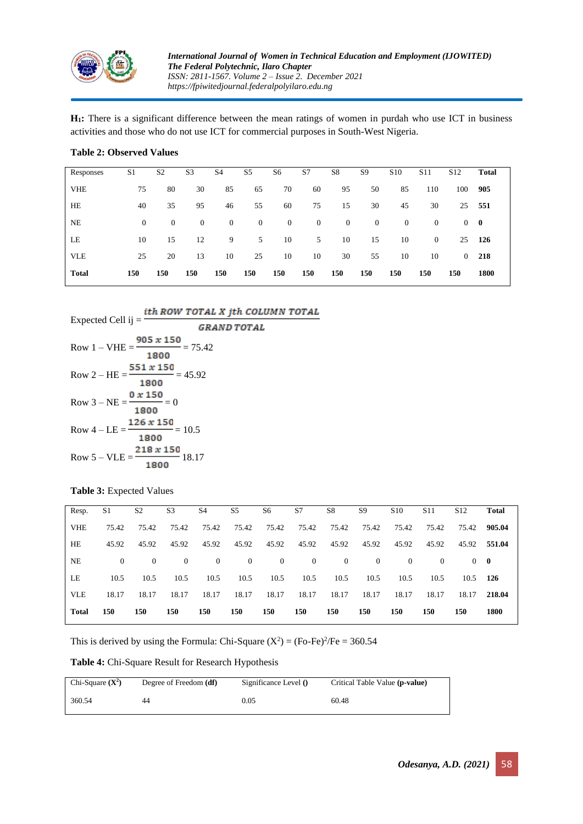

**H1:** There is a significant difference between the mean ratings of women in purdah who use ICT in business activities and those who do not use ICT for commercial purposes in South-West Nigeria.

| Responses    | S <sub>1</sub> | S <sub>2</sub> | S <sub>3</sub> | S <sub>4</sub> | S <sub>5</sub> | S6           | S7               | S8           | S <sub>9</sub>   | S <sub>10</sub> | S <sub>11</sub> | S <sub>12</sub> | Total    |
|--------------|----------------|----------------|----------------|----------------|----------------|--------------|------------------|--------------|------------------|-----------------|-----------------|-----------------|----------|
| <b>VHE</b>   | 75             | 80             | 30             | 85             | 65             | 70           | 60               | 95           | 50               | 85              | 110             | 100             | 905      |
| HE           | 40             | 35             | 95             | 46             | 55             | 60           | 75               | 15           | 30               | 45              | 30              | 25              | - 551    |
| NE           | $\theta$       | $\theta$       | $\theta$       | $\overline{0}$ | $\overline{0}$ | $\mathbf{0}$ | $\boldsymbol{0}$ | $\mathbf{0}$ | $\boldsymbol{0}$ | $\mathbf{0}$    | $\overline{0}$  | $\overline{0}$  | $\bf{0}$ |
| LE           | 10             | 15             | 12             | 9              | 5              | 10           | 5                | 10           | 15               | 10              | $\mathbf{0}$    |                 | 25 126   |
| <b>VLE</b>   | 25             | 20             | 13             | 10             | 25             | 10           | 10               | 30           | 55               | 10              | 10              | $\overline{0}$  | 218      |
| <b>Total</b> | 150            | 150            | 150            | 150            | 150            | 150          | 150              | 150          | 150              | 150             | 150             | 150             | 1800     |

#### **Table 2: Observed Values**

Expected Cell ij  $=$   $\frac{ith\,ROW\,TOTAL\,X\,jth\,COLUMN\,TOTAL}{F}$ 

| $L$ Apeeled Cell IJ $-$                                | <i><b>GRAND TOTAL</b></i> |
|--------------------------------------------------------|---------------------------|
| $905 \times 150$<br>$= 75.42$<br>$Row 1 - VHE =$       |                           |
| 1800                                                   |                           |
| $551 \times 150$<br>Row 2 – HE = $\frac{\ }{}$ = 45.92 |                           |
| 1800                                                   |                           |
| 0 x 150<br>Row $3 - NE = \frac{120}{100} = 0$          |                           |
| 1800                                                   |                           |
| $126 \times 150$<br>Row $4 - LE =$ $-$ = 10.5          |                           |
| 1800                                                   |                           |
| $218 \times 150$<br>Row $5 - VLE =$ 18.17              |                           |
| 1800                                                   |                           |

#### **Table 3:** Expected Values

| Resp.        | S1       | S <sub>2</sub> | S <sub>3</sub> | S <sub>4</sub> | S <sub>5</sub> | S6             | S7             | S8             | S <sub>9</sub> | S <sub>10</sub> | S <sub>11</sub> | S <sub>12</sub> | <b>Total</b> |
|--------------|----------|----------------|----------------|----------------|----------------|----------------|----------------|----------------|----------------|-----------------|-----------------|-----------------|--------------|
| <b>VHE</b>   | 75.42    | 75.42          | 75.42          | 75.42          | 75.42          | 75.42          | 75.42          | 75.42          | 75.42          | 75.42           | 75.42           | 75.42           | 905.04       |
| HE           | 45.92    | 45.92          | 45.92          | 45.92          | 45.92          | 45.92          | 45.92          | 45.92          | 45.92          | 45.92           | 45.92           | 45.92           | 551.04       |
| <b>NE</b>    | $\Omega$ | $\Omega$       | $\theta$       | $\overline{0}$ | $\overline{0}$ | $\overline{0}$ | $\overline{0}$ | $\overline{0}$ | $\Omega$       | $\Omega$        | $\mathbf{0}$    |                 | $0 \quad 0$  |
| LE           | 10.5     | 10.5           | 10.5           | 10.5           | 10.5           | 10.5           | 10.5           | 10.5           | 10.5           | 10.5            | 10.5            | $10.5$ 126      |              |
| <b>VLE</b>   | 18.17    | 18.17          | 18.17          | 18.17          | 18.17          | 18.17          | 18.17          | 18.17          | 18.17          | 18.17           | 18.17           | 18.17           | 218.04       |
| <b>Total</b> | 150      | 150            | 150            | 150            | 150            | 150            | 150            | 150            | 150            | 150             | 150             | 150             | 1800         |

This is derived by using the Formula: Chi-Square  $(X^2) = (Fo-Fe)^2/Fe = 360.54$ 

#### **Table 4:** Chi-Square Result for Research Hypothesis

| Chi-Square $(X^2)$ | Degree of Freedom ( <b>df</b> ) | Significance Level $()$ | Critical Table Value (p-value) |
|--------------------|---------------------------------|-------------------------|--------------------------------|
| 360.54             | 44                              | 0.05                    | 60.48                          |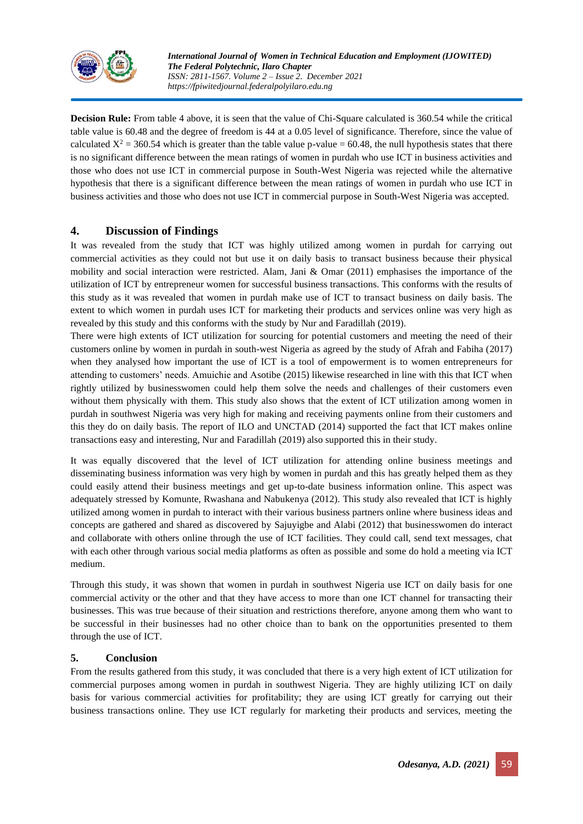

**Decision Rule:** From table 4 above, it is seen that the value of Chi-Square calculated is 360.54 while the critical table value is 60.48 and the degree of freedom is 44 at a 0.05 level of significance. Therefore, since the value of calculated  $X^2 = 360.54$  which is greater than the table value p-value = 60.48, the null hypothesis states that there is no significant difference between the mean ratings of women in purdah who use ICT in business activities and those who does not use ICT in commercial purpose in South-West Nigeria was rejected while the alternative hypothesis that there is a significant difference between the mean ratings of women in purdah who use ICT in business activities and those who does not use ICT in commercial purpose in South-West Nigeria was accepted.

## **4. Discussion of Findings**

It was revealed from the study that ICT was highly utilized among women in purdah for carrying out commercial activities as they could not but use it on daily basis to transact business because their physical mobility and social interaction were restricted. Alam, Jani & Omar (2011) emphasises the importance of the utilization of ICT by entrepreneur women for successful business transactions. This conforms with the results of this study as it was revealed that women in purdah make use of ICT to transact business on daily basis. The extent to which women in purdah uses ICT for marketing their products and services online was very high as revealed by this study and this conforms with the study by Nur and Faradillah (2019).

There were high extents of ICT utilization for sourcing for potential customers and meeting the need of their customers online by women in purdah in south-west Nigeria as agreed by the study of Afrah and Fabiha (2017) when they analysed how important the use of ICT is a tool of empowerment is to women entrepreneurs for attending to customers' needs. Amuichie and Asotibe (2015) likewise researched in line with this that ICT when rightly utilized by businesswomen could help them solve the needs and challenges of their customers even without them physically with them. This study also shows that the extent of ICT utilization among women in purdah in southwest Nigeria was very high for making and receiving payments online from their customers and this they do on daily basis. The report of ILO and UNCTAD (2014) supported the fact that ICT makes online transactions easy and interesting, Nur and Faradillah (2019) also supported this in their study.

It was equally discovered that the level of ICT utilization for attending online business meetings and disseminating business information was very high by women in purdah and this has greatly helped them as they could easily attend their business meetings and get up-to-date business information online. This aspect was adequately stressed by Komunte, Rwashana and Nabukenya (2012). This study also revealed that ICT is highly utilized among women in purdah to interact with their various business partners online where business ideas and concepts are gathered and shared as discovered by Sajuyigbe and Alabi (2012) that businesswomen do interact and collaborate with others online through the use of ICT facilities. They could call, send text messages, chat with each other through various social media platforms as often as possible and some do hold a meeting via ICT medium.

Through this study, it was shown that women in purdah in southwest Nigeria use ICT on daily basis for one commercial activity or the other and that they have access to more than one ICT channel for transacting their businesses. This was true because of their situation and restrictions therefore, anyone among them who want to be successful in their businesses had no other choice than to bank on the opportunities presented to them through the use of ICT.

## **5. Conclusion**

From the results gathered from this study, it was concluded that there is a very high extent of ICT utilization for commercial purposes among women in purdah in southwest Nigeria. They are highly utilizing ICT on daily basis for various commercial activities for profitability; they are using ICT greatly for carrying out their business transactions online. They use ICT regularly for marketing their products and services, meeting the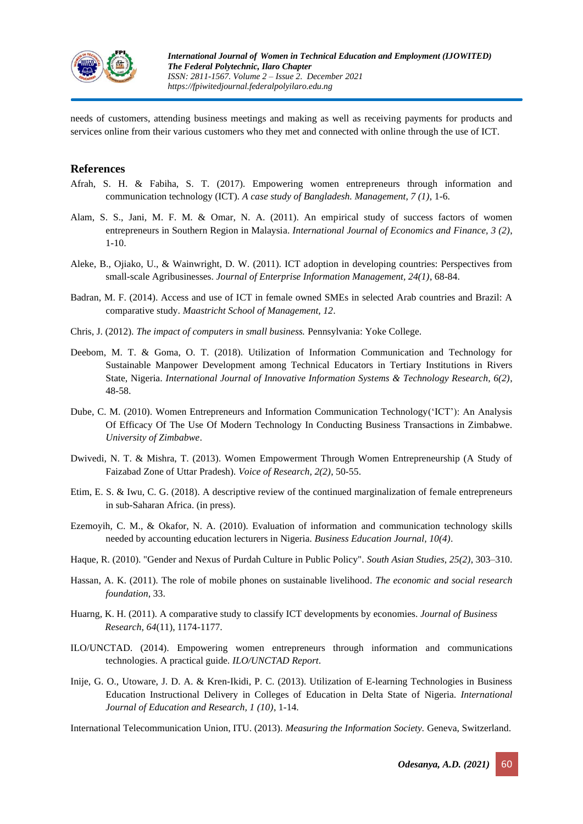

needs of customers, attending business meetings and making as well as receiving payments for products and services online from their various customers who they met and connected with online through the use of ICT.

### **References**

- Afrah, S. H. & Fabiha, S. T. (2017). Empowering women entrepreneurs through information and communication technology (ICT). *A case study of Bangladesh. Management, 7 (1)*, 1-6.
- Alam, S. S., Jani, M. F. M. & Omar, N. A. (2011). An empirical study of success factors of women entrepreneurs in Southern Region in Malaysia. *International Journal of Economics and Finance, 3 (2)*, 1-10.
- Aleke, B., Ojiako, U., & Wainwright, D. W. (2011). ICT adoption in developing countries: Perspectives from small-scale Agribusinesses. *Journal of Enterprise Information Management, 24(1)*, 68-84.
- Badran, M. F. (2014). Access and use of ICT in female owned SMEs in selected Arab countries and Brazil: A comparative study. *Maastricht School of Management, 12*.
- Chris, J. (2012). *The impact of computers in small business.* Pennsylvania: Yoke College.
- Deebom, M. T. & Goma, O. T. (2018). Utilization of Information Communication and Technology for Sustainable Manpower Development among Technical Educators in Tertiary Institutions in Rivers State, Nigeria. *International Journal of Innovative Information Systems & Technology Research, 6(2)*, 48-58.
- Dube, C. M. (2010). Women Entrepreneurs and Information Communication Technology('ICT'): An Analysis Of Efficacy Of The Use Of Modern Technology In Conducting Business Transactions in Zimbabwe. *University of Zimbabwe*.
- Dwivedi, N. T. & Mishra, T. (2013). Women Empowerment Through Women Entrepreneurship (A Study of Faizabad Zone of Uttar Pradesh). *Voice of Research, 2(2)*, 50-55.
- Etim, E. S. & Iwu, C. G. (2018). A descriptive review of the continued marginalization of female entrepreneurs in sub-Saharan Africa. (in press).
- Ezemoyih, C. M., & Okafor, N. A. (2010). Evaluation of information and communication technology skills needed by accounting education lecturers in Nigeria. *Business Education Journal, 10(4)*.
- Haque, R. (2010). "Gender and Nexus of Purdah Culture in Public Policy". *South Asian Studies, 25(2)*, 303–310.
- Hassan, A. K. (2011). The role of mobile phones on sustainable livelihood. *The economic and social research foundation*, 33.
- Huarng, K. H. (2011). A comparative study to classify ICT developments by economies. *Journal of Business Research*, *64*(11), 1174-1177.
- ILO/UNCTAD. (2014). Empowering women entrepreneurs through information and communications technologies. A practical guide. *ILO/UNCTAD Report*.
- Inije, G. O., Utoware, J. D. A. & Kren-Ikidi, P. C. (2013). Utilization of E-learning Technologies in Business Education Instructional Delivery in Colleges of Education in Delta State of Nigeria. *International Journal of Education and Research, 1 (10)*, 1-14.

International Telecommunication Union, ITU. (2013). *Measuring the Information Society.* Geneva, Switzerland.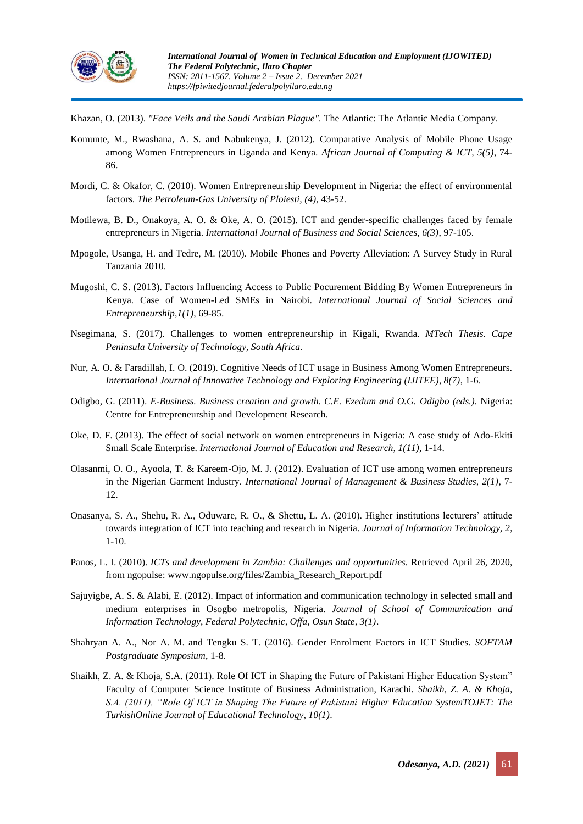

Khazan, O. (2013). *"Face Veils and the Saudi Arabian Plague".* The Atlantic: The Atlantic Media Company.

- Komunte, M., Rwashana, A. S. and Nabukenya, J. (2012). Comparative Analysis of Mobile Phone Usage among Women Entrepreneurs in Uganda and Kenya. *African Journal of Computing & ICT, 5(5)*, 74- 86.
- Mordi, C. & Okafor, C. (2010). Women Entrepreneurship Development in Nigeria: the effect of environmental factors. *The Petroleum-Gas University of Ploiesti, (4)*, 43-52.
- Motilewa, B. D., Onakoya, A. O. & Oke, A. O. (2015). ICT and gender-specific challenges faced by female entrepreneurs in Nigeria. *International Journal of Business and Social Sciences, 6(3)*, 97-105.
- Mpogole, Usanga, H. and Tedre, M. (2010). Mobile Phones and Poverty Alleviation: A Survey Study in Rural Tanzania 2010.
- Mugoshi, C. S. (2013). Factors Influencing Access to Public Pocurement Bidding By Women Entrepreneurs in Kenya. Case of Women-Led SMEs in Nairobi. *International Journal of Social Sciences and Entrepreneurship,1(1)*, 69-85.
- Nsegimana, S. (2017). Challenges to women entrepreneurship in Kigali, Rwanda. *MTech Thesis. Cape Peninsula University of Technology, South Africa*.
- Nur, A. O. & Faradillah, I. O. (2019). Cognitive Needs of ICT usage in Business Among Women Entrepreneurs. *International Journal of Innovative Technology and Exploring Engineering (IJITEE), 8(7)*, 1-6.
- Odigbo, G. (2011). *E-Business. Business creation and growth. C.E. Ezedum and O.G. Odigbo (eds.).* Nigeria: Centre for Entrepreneurship and Development Research.
- Oke, D. F. (2013). The effect of social network on women entrepreneurs in Nigeria: A case study of Ado-Ekiti Small Scale Enterprise. *International Journal of Education and Research, 1(11)*, 1-14.
- Olasanmi, O. O., Ayoola, T. & Kareem-Ojo, M. J. (2012). Evaluation of ICT use among women entrepreneurs in the Nigerian Garment Industry. *International Journal of Management & Business Studies, 2(1)*, 7- 12.
- Onasanya, S. A., Shehu, R. A., Oduware, R. O., & Shettu, L. A. (2010). Higher institutions lecturers' attitude towards integration of ICT into teaching and research in Nigeria. *Journal of Information Technology, 2*, 1-10.
- Panos, L. I. (2010). *ICTs and development in Zambia: Challenges and opportunities.* Retrieved April 26, 2020, from ngopulse: www.ngopulse.org/files/Zambia\_Research\_Report.pdf
- Sajuyigbe, A. S. & Alabi, E. (2012). Impact of information and communication technology in selected small and medium enterprises in Osogbo metropolis, Nigeria. *Journal of School of Communication and Information Technology, Federal Polytechnic, Offa, Osun State, 3(1)*.
- Shahryan A. A., Nor A. M. and Tengku S. T. (2016). Gender Enrolment Factors in ICT Studies. *SOFTAM Postgraduate Symposium*, 1-8.
- Shaikh, Z. A. & Khoja, S.A. (2011). Role Of ICT in Shaping the Future of Pakistani Higher Education System" Faculty of Computer Science Institute of Business Administration, Karachi. *Shaikh, Z. A. & Khoja, S.A. (2011), "Role Of ICT in Shaping The Future of Pakistani Higher Education SystemTOJET: The TurkishOnline Journal of Educational Technology, 10(1)*.